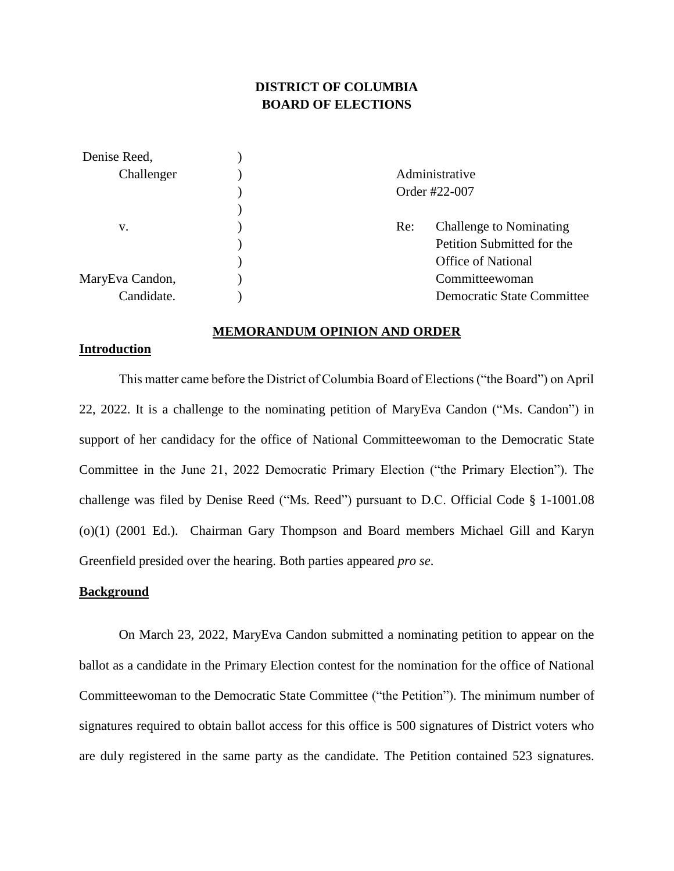# **DISTRICT OF COLUMBIA BOARD OF ELECTIONS**

| Denise Reed,    |                |                                   |
|-----------------|----------------|-----------------------------------|
| Challenger      | Administrative |                                   |
|                 | Order #22-007  |                                   |
|                 |                |                                   |
| v.              | Re:            | <b>Challenge to Nominating</b>    |
|                 |                | Petition Submitted for the        |
|                 |                | <b>Office of National</b>         |
| MaryEva Candon, |                | Committeewoman                    |
| Candidate.      |                | <b>Democratic State Committee</b> |

#### **MEMORANDUM OPINION AND ORDER**

### **Introduction**

This matter came before the District of Columbia Board of Elections ("the Board") on April 22, 2022. It is a challenge to the nominating petition of MaryEva Candon ("Ms. Candon") in support of her candidacy for the office of National Committeewoman to the Democratic State Committee in the June 21, 2022 Democratic Primary Election ("the Primary Election"). The challenge was filed by Denise Reed ("Ms. Reed") pursuant to D.C. Official Code § 1-1001.08 (o)(1) (2001 Ed.). Chairman Gary Thompson and Board members Michael Gill and Karyn Greenfield presided over the hearing. Both parties appeared *pro se*.

### **Background**

On March 23, 2022, MaryEva Candon submitted a nominating petition to appear on the ballot as a candidate in the Primary Election contest for the nomination for the office of National Committeewoman to the Democratic State Committee ("the Petition"). The minimum number of signatures required to obtain ballot access for this office is 500 signatures of District voters who are duly registered in the same party as the candidate. The Petition contained 523 signatures.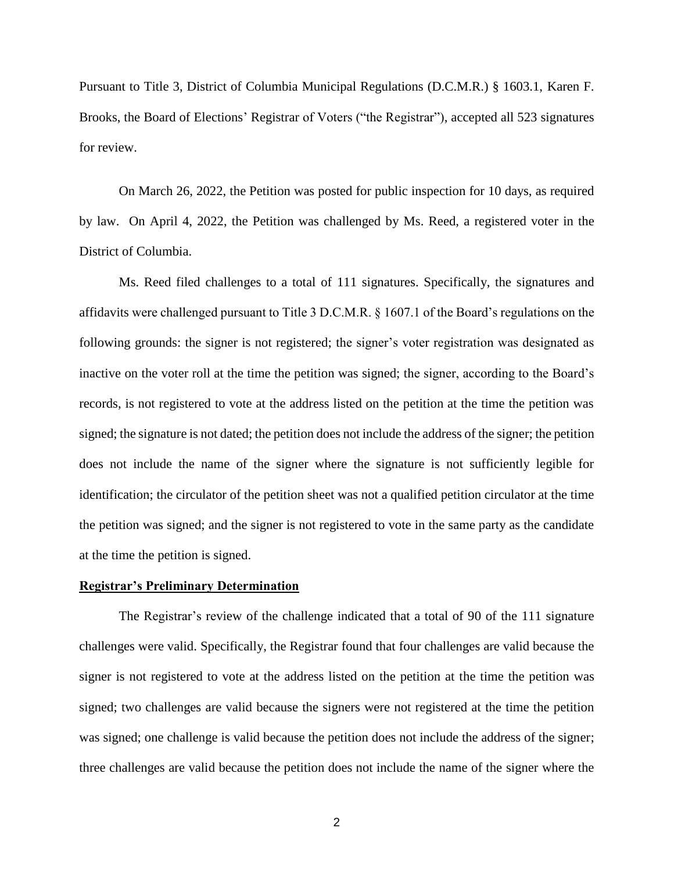Pursuant to Title 3, District of Columbia Municipal Regulations (D.C.M.R.) § 1603.1, Karen F. Brooks, the Board of Elections' Registrar of Voters ("the Registrar"), accepted all 523 signatures for review.

On March 26, 2022, the Petition was posted for public inspection for 10 days, as required by law. On April 4, 2022, the Petition was challenged by Ms. Reed, a registered voter in the District of Columbia.

Ms. Reed filed challenges to a total of 111 signatures. Specifically, the signatures and affidavits were challenged pursuant to Title 3 D.C.M.R. § 1607.1 of the Board's regulations on the following grounds: the signer is not registered; the signer's voter registration was designated as inactive on the voter roll at the time the petition was signed; the signer, according to the Board's records, is not registered to vote at the address listed on the petition at the time the petition was signed; the signature is not dated; the petition does not include the address of the signer; the petition does not include the name of the signer where the signature is not sufficiently legible for identification; the circulator of the petition sheet was not a qualified petition circulator at the time the petition was signed; and the signer is not registered to vote in the same party as the candidate at the time the petition is signed.

#### **Registrar's Preliminary Determination**

The Registrar's review of the challenge indicated that a total of 90 of the 111 signature challenges were valid. Specifically, the Registrar found that four challenges are valid because the signer is not registered to vote at the address listed on the petition at the time the petition was signed; two challenges are valid because the signers were not registered at the time the petition was signed; one challenge is valid because the petition does not include the address of the signer; three challenges are valid because the petition does not include the name of the signer where the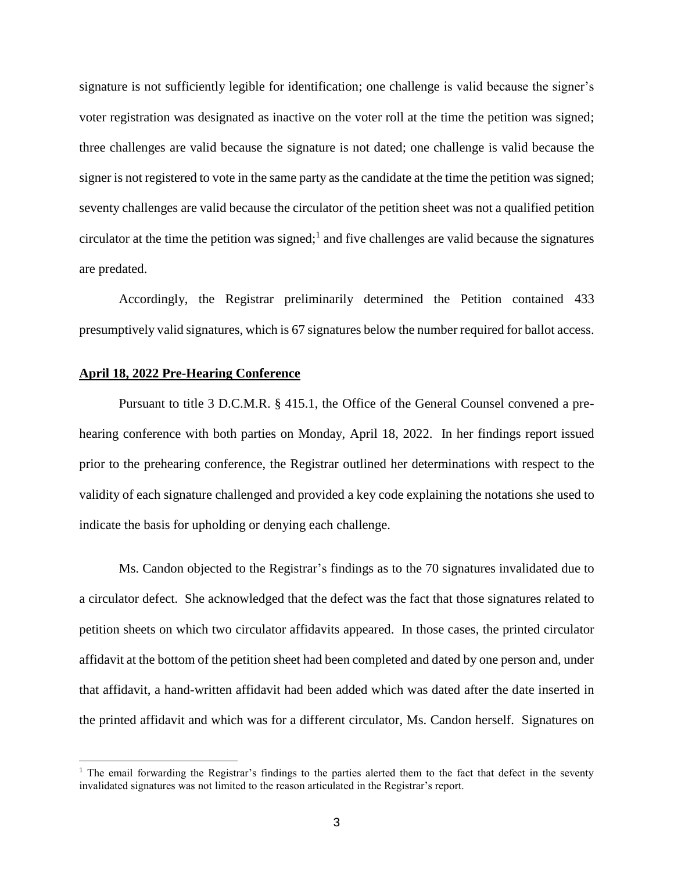signature is not sufficiently legible for identification; one challenge is valid because the signer's voter registration was designated as inactive on the voter roll at the time the petition was signed; three challenges are valid because the signature is not dated; one challenge is valid because the signer is not registered to vote in the same party as the candidate at the time the petition was signed; seventy challenges are valid because the circulator of the petition sheet was not a qualified petition circulator at the time the petition was signed; 1 and five challenges are valid because the signatures are predated.

Accordingly, the Registrar preliminarily determined the Petition contained 433 presumptively valid signatures, which is 67 signatures below the number required for ballot access.

#### **April 18, 2022 Pre-Hearing Conference**

Pursuant to title 3 D.C.M.R. § 415.1, the Office of the General Counsel convened a prehearing conference with both parties on Monday, April 18, 2022. In her findings report issued prior to the prehearing conference, the Registrar outlined her determinations with respect to the validity of each signature challenged and provided a key code explaining the notations she used to indicate the basis for upholding or denying each challenge.

Ms. Candon objected to the Registrar's findings as to the 70 signatures invalidated due to a circulator defect. She acknowledged that the defect was the fact that those signatures related to petition sheets on which two circulator affidavits appeared. In those cases, the printed circulator affidavit at the bottom of the petition sheet had been completed and dated by one person and, under that affidavit, a hand-written affidavit had been added which was dated after the date inserted in the printed affidavit and which was for a different circulator, Ms. Candon herself. Signatures on

<sup>&</sup>lt;sup>1</sup> The email forwarding the Registrar's findings to the parties alerted them to the fact that defect in the seventy invalidated signatures was not limited to the reason articulated in the Registrar's report.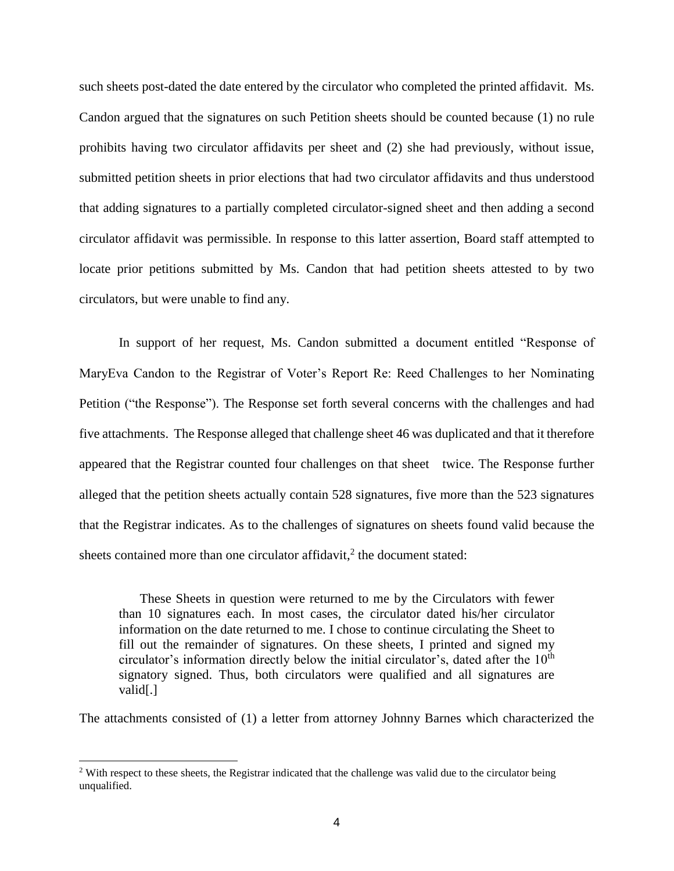such sheets post-dated the date entered by the circulator who completed the printed affidavit. Ms. Candon argued that the signatures on such Petition sheets should be counted because (1) no rule prohibits having two circulator affidavits per sheet and (2) she had previously, without issue, submitted petition sheets in prior elections that had two circulator affidavits and thus understood that adding signatures to a partially completed circulator-signed sheet and then adding a second circulator affidavit was permissible. In response to this latter assertion, Board staff attempted to locate prior petitions submitted by Ms. Candon that had petition sheets attested to by two circulators, but were unable to find any.

In support of her request, Ms. Candon submitted a document entitled "Response of MaryEva Candon to the Registrar of Voter's Report Re: Reed Challenges to her Nominating Petition ("the Response"). The Response set forth several concerns with the challenges and had five attachments. The Response alleged that challenge sheet 46 was duplicated and that it therefore appeared that the Registrar counted four challenges on that sheet twice. The Response further alleged that the petition sheets actually contain 528 signatures, five more than the 523 signatures that the Registrar indicates. As to the challenges of signatures on sheets found valid because the sheets contained more than one circulator affidavit, $2$  the document stated:

These Sheets in question were returned to me by the Circulators with fewer than 10 signatures each. In most cases, the circulator dated his/her circulator information on the date returned to me. I chose to continue circulating the Sheet to fill out the remainder of signatures. On these sheets, I printed and signed my circulator's information directly below the initial circulator's, dated after the  $10<sup>th</sup>$ signatory signed. Thus, both circulators were qualified and all signatures are valid[.]

The attachments consisted of (1) a letter from attorney Johnny Barnes which characterized the

 $2$  With respect to these sheets, the Registrar indicated that the challenge was valid due to the circulator being unqualified.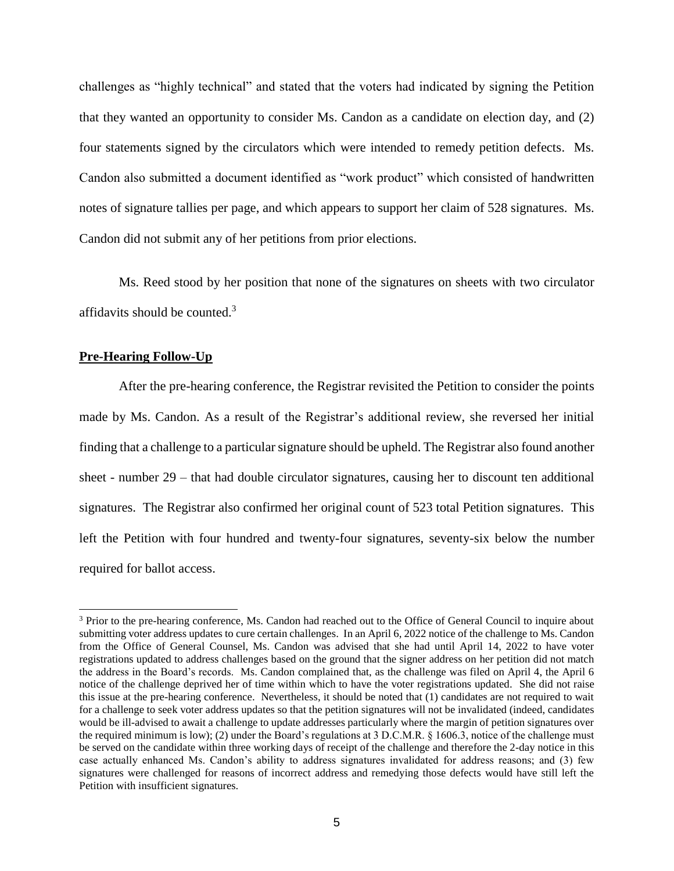challenges as "highly technical" and stated that the voters had indicated by signing the Petition that they wanted an opportunity to consider Ms. Candon as a candidate on election day, and (2) four statements signed by the circulators which were intended to remedy petition defects. Ms. Candon also submitted a document identified as "work product" which consisted of handwritten notes of signature tallies per page, and which appears to support her claim of 528 signatures. Ms. Candon did not submit any of her petitions from prior elections.

Ms. Reed stood by her position that none of the signatures on sheets with two circulator affidavits should be counted.<sup>3</sup>

### **Pre-Hearing Follow-Up**

After the pre-hearing conference, the Registrar revisited the Petition to consider the points made by Ms. Candon. As a result of the Registrar's additional review, she reversed her initial finding that a challenge to a particular signature should be upheld. The Registrar also found another sheet - number 29 – that had double circulator signatures, causing her to discount ten additional signatures. The Registrar also confirmed her original count of 523 total Petition signatures. This left the Petition with four hundred and twenty-four signatures, seventy-six below the number required for ballot access.

<sup>&</sup>lt;sup>3</sup> Prior to the pre-hearing conference, Ms. Candon had reached out to the Office of General Council to inquire about submitting voter address updates to cure certain challenges. In an April 6, 2022 notice of the challenge to Ms. Candon from the Office of General Counsel, Ms. Candon was advised that she had until April 14, 2022 to have voter registrations updated to address challenges based on the ground that the signer address on her petition did not match the address in the Board's records. Ms. Candon complained that, as the challenge was filed on April 4, the April 6 notice of the challenge deprived her of time within which to have the voter registrations updated. She did not raise this issue at the pre-hearing conference. Nevertheless, it should be noted that (1) candidates are not required to wait for a challenge to seek voter address updates so that the petition signatures will not be invalidated (indeed, candidates would be ill-advised to await a challenge to update addresses particularly where the margin of petition signatures over the required minimum is low); (2) under the Board's regulations at 3 D.C.M.R. § 1606.3, notice of the challenge must be served on the candidate within three working days of receipt of the challenge and therefore the 2-day notice in this case actually enhanced Ms. Candon's ability to address signatures invalidated for address reasons; and (3) few signatures were challenged for reasons of incorrect address and remedying those defects would have still left the Petition with insufficient signatures.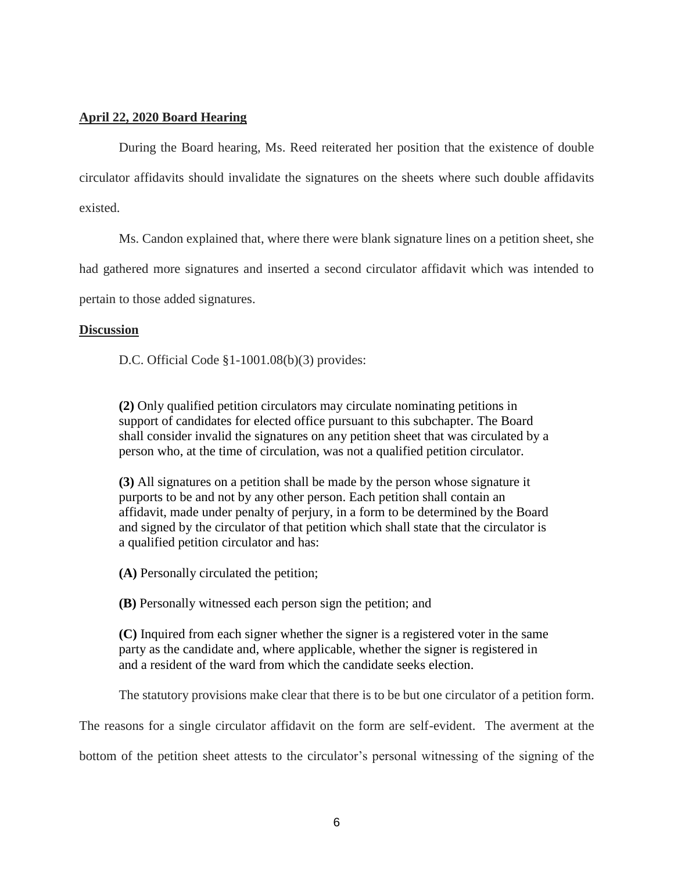# **April 22, 2020 Board Hearing**

During the Board hearing, Ms. Reed reiterated her position that the existence of double circulator affidavits should invalidate the signatures on the sheets where such double affidavits existed.

Ms. Candon explained that, where there were blank signature lines on a petition sheet, she

had gathered more signatures and inserted a second circulator affidavit which was intended to

pertain to those added signatures.

## **Discussion**

D.C. Official Code §1-1001.08(b)(3) provides:

**(2)** Only qualified petition circulators may circulate nominating petitions in support of candidates for elected office pursuant to this subchapter. The Board shall consider invalid the signatures on any petition sheet that was circulated by a person who, at the time of circulation, was not a qualified petition circulator.

**(3)** All signatures on a petition shall be made by the person whose signature it purports to be and not by any other person. Each petition shall contain an affidavit, made under penalty of perjury, in a form to be determined by the Board and signed by the circulator of that petition which shall state that the circulator is a qualified petition circulator and has:

**(A)** Personally circulated the petition;

**(B)** Personally witnessed each person sign the petition; and

**(C)** Inquired from each signer whether the signer is a registered voter in the same party as the candidate and, where applicable, whether the signer is registered in and a resident of the ward from which the candidate seeks election.

The statutory provisions make clear that there is to be but one circulator of a petition form.

The reasons for a single circulator affidavit on the form are self-evident. The averment at the

bottom of the petition sheet attests to the circulator's personal witnessing of the signing of the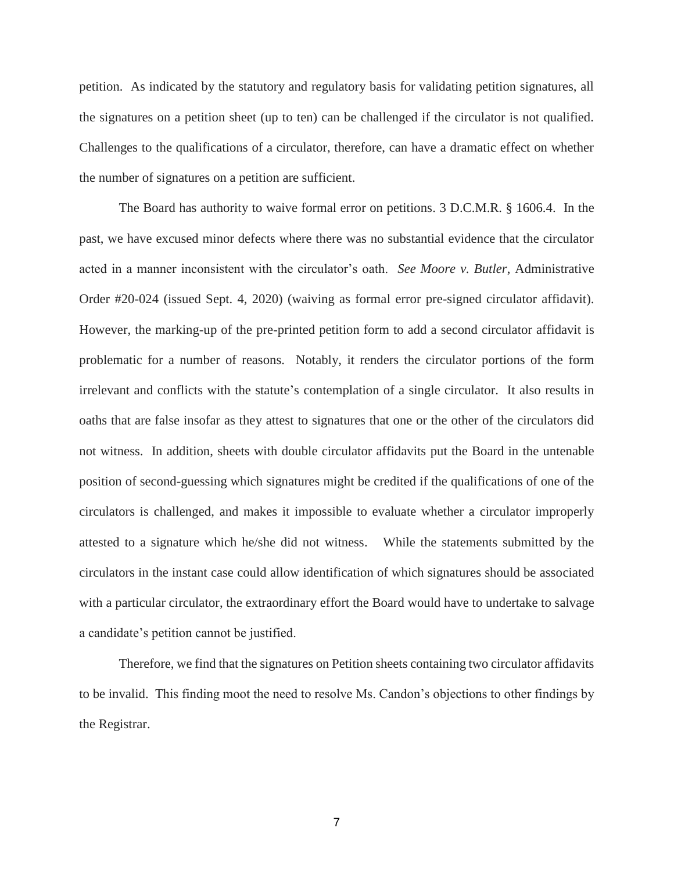petition. As indicated by the statutory and regulatory basis for validating petition signatures, all the signatures on a petition sheet (up to ten) can be challenged if the circulator is not qualified. Challenges to the qualifications of a circulator, therefore, can have a dramatic effect on whether the number of signatures on a petition are sufficient.

The Board has authority to waive formal error on petitions. 3 D.C.M.R. § 1606.4. In the past, we have excused minor defects where there was no substantial evidence that the circulator acted in a manner inconsistent with the circulator's oath. *See Moore v. Butler*, Administrative Order #20-024 (issued Sept. 4, 2020) (waiving as formal error pre-signed circulator affidavit). However, the marking-up of the pre-printed petition form to add a second circulator affidavit is problematic for a number of reasons. Notably, it renders the circulator portions of the form irrelevant and conflicts with the statute's contemplation of a single circulator. It also results in oaths that are false insofar as they attest to signatures that one or the other of the circulators did not witness. In addition, sheets with double circulator affidavits put the Board in the untenable position of second-guessing which signatures might be credited if the qualifications of one of the circulators is challenged, and makes it impossible to evaluate whether a circulator improperly attested to a signature which he/she did not witness. While the statements submitted by the circulators in the instant case could allow identification of which signatures should be associated with a particular circulator, the extraordinary effort the Board would have to undertake to salvage a candidate's petition cannot be justified.

Therefore, we find that the signatures on Petition sheets containing two circulator affidavits to be invalid. This finding moot the need to resolve Ms. Candon's objections to other findings by the Registrar.